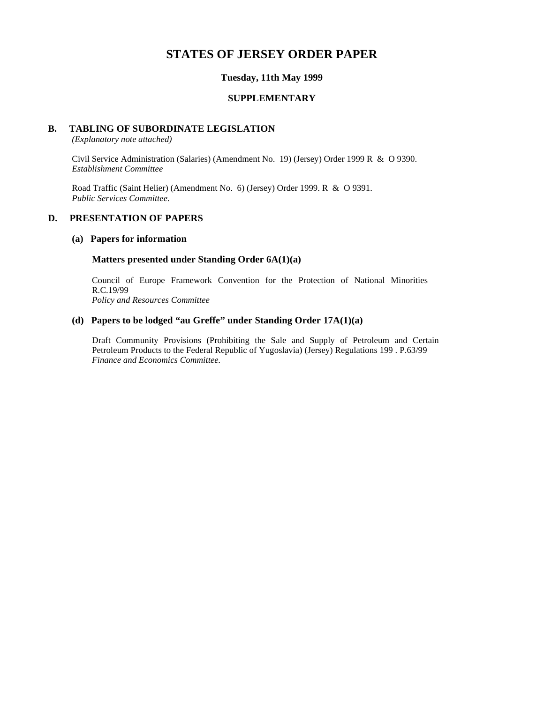# **STATES OF JERSEY ORDER PAPER**

## **Tuesday, 11th May 1999**

#### **SUPPLEMENTARY**

#### **B. TABLING OF SUBORDINATE LEGISLATION**

*(Explanatory note attached)*

Civil Service Administration (Salaries) (Amendment No. 19) (Jersey) Order 1999 R & O 9390. *Establishment Committee*

Road Traffic (Saint Helier) (Amendment No. 6) (Jersey) Order 1999. R & O 9391. *Public Services Committee.*

# **D. PRESENTATION OF PAPERS**

#### **(a) Papers for information**

#### **Matters presented under Standing Order 6A(1)(a)**

Council of Europe Framework Convention for the Protection of National Minorities R.C.19/99

*Policy and Resources Committee*

# **(d) Papers to be lodged "au Greffe" under Standing Order 17A(1)(a)**

Draft Community Provisions (Prohibiting the Sale and Supply of Petroleum and Certain Petroleum Products to the Federal Republic of Yugoslavia) (Jersey) Regulations 199 . P.63/99 *Finance and Economics Committee.*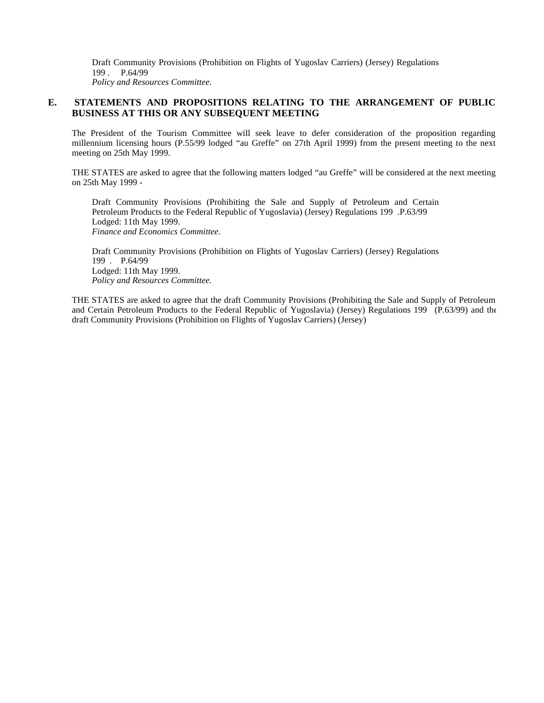Draft Community Provisions (Prohibition on Flights of Yugoslav Carriers) (Jersey) Regulations 199 . P.64/99 *Policy and Resources Committee.*

# **E. STATEMENTS AND PROPOSITIONS RELATING TO THE ARRANGEMENT OF PUBLIC BUSINESS AT THIS OR ANY SUBSEQUENT MEETING**

The President of the Tourism Committee will seek leave to defer consideration of the proposition regarding millennium licensing hours (P.55/99 lodged "au Greffe" on 27th April 1999) from the present meeting to the next meeting on 25th May 1999.

THE STATES are asked to agree that the following matters lodged "au Greffe" will be considered at the next meeting on 25th May 1999 -

Draft Community Provisions (Prohibiting the Sale and Supply of Petroleum and Certain Petroleum Products to the Federal Republic of Yugoslavia) (Jersey) Regulations 199 .P.63/99 Lodged: 11th May 1999. *Finance and Economics Committee.*

Draft Community Provisions (Prohibition on Flights of Yugoslav Carriers) (Jersey) Regulations 199 . P.64/99 Lodged: 11th May 1999. *Policy and Resources Committee.*

THE STATES are asked to agree that the draft Community Provisions (Prohibiting the Sale and Supply of Petroleum and Certain Petroleum Products to the Federal Republic of Yugoslavia) (Jersey) Regulations 199 (P.63/99) and the draft Community Provisions (Prohibition on Flights of Yugoslav Carriers) (Jersey)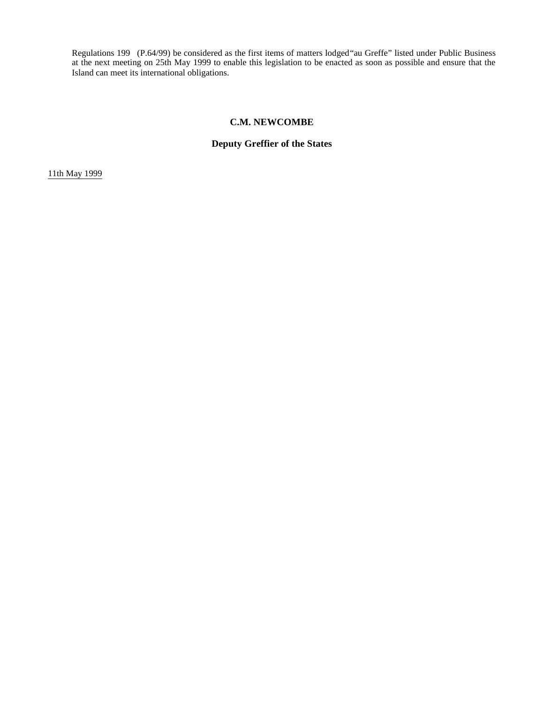Regulations 199 (P.64/99) be considered as the first items of matters lodged"au Greffe" listed under Public Business at the next meeting on 25th May 1999 to enable this legislation to be enacted as soon as possible and ensure that the Island can meet its international obligations.

### **C.M. NEWCOMBE**

# **Deputy Greffier of the States**

11th May 1999